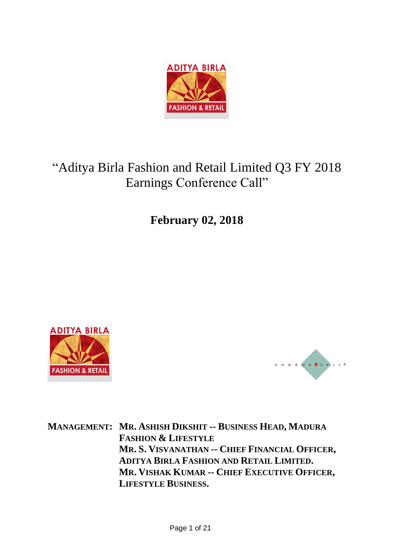

# "Aditya Birla Fashion and Retail Limited Q3 FY 2018 Earnings Conference Call"

**February 02, 2018**





**MANAGEMENT: MR. ASHISH DIKSHIT -- BUSINESS HEAD, MADURA FASHION & LIFESTYLE MR. S. VISVANATHAN -- CHIEF FINANCIAL OFFICER, ADITYA BIRLA FASHION AND RETAIL LIMITED. MR. VISHAK KUMAR -- CHIEF EXECUTIVE OFFICER, LIFESTYLE BUSINESS.**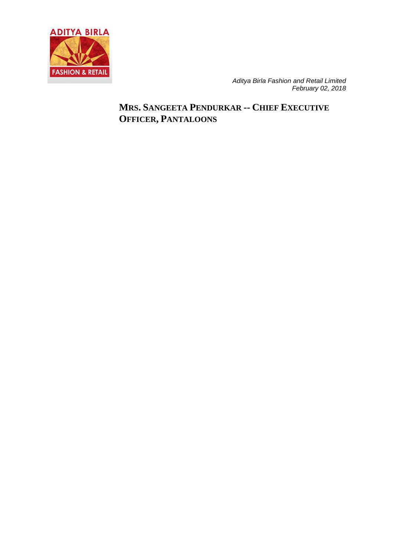

## **MRS. SANGEETA PENDURKAR -- CHIEF EXECUTIVE OFFICER, PANTALOONS**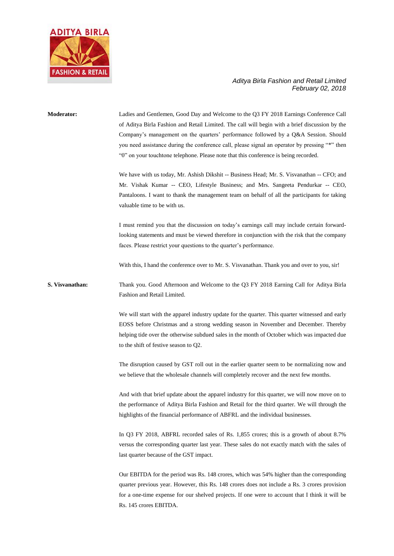

## **Moderator:** Ladies and Gentlemen, Good Day and Welcome to the Q3 FY 2018 Earnings Conference Call of Aditya Birla Fashion and Retail Limited. The call will begin with a brief discussion by the Company's management on the quarters' performance followed by a Q&A Session. Should you need assistance during the conference call, please signal an operator by pressing "\*" then "0" on your touchtone telephone. Please note that this conference is being recorded. We have with us today, Mr. Ashish Dikshit -- Business Head; Mr. S. Visvanathan -- CFO; and Mr. Vishak Kumar -- CEO, Lifestyle Business; and Mrs. Sangeeta Pendurkar -- CEO, Pantaloons. I want to thank the management team on behalf of all the participants for taking valuable time to be with us. I must remind you that the discussion on today's earnings call may include certain forwardlooking statements and must be viewed therefore in conjunction with the risk that the company faces. Please restrict your questions to the quarter's performance. With this, I hand the conference over to Mr. S. Visvanathan. Thank you and over to you, sir! **S. Visvanathan:** Thank you. Good Afternoon and Welcome to the Q3 FY 2018 Earning Call for Aditya Birla Fashion and Retail Limited. We will start with the apparel industry update for the quarter. This quarter witnessed and early EOSS before Christmas and a strong wedding season in November and December. Thereby helping tide over the otherwise subdued sales in the month of October which was impacted due to the shift of festive season to Q2. The disruption caused by GST roll out in the earlier quarter seem to be normalizing now and we believe that the wholesale channels will completely recover and the next few months. And with that brief update about the apparel industry for this quarter, we will now move on to the performance of Aditya Birla Fashion and Retail for the third quarter. We will through the highlights of the financial performance of ABFRL and the individual businesses. In Q3 FY 2018, ABFRL recorded sales of Rs. 1,855 crores; this is a growth of about 8.7% versus the corresponding quarter last year. These sales do not exactly match with the sales of last quarter because of the GST impact. Our EBITDA for the period was Rs. 148 crores, which was 54% higher than the corresponding quarter previous year. However, this Rs. 148 crores does not include a Rs. 3 crores provision for a one-time expense for our shelved projects. If one were to account that I think it will be Rs. 145 crores EBITDA.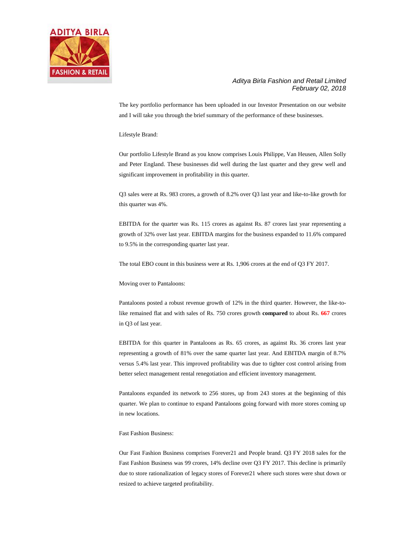

The key portfolio performance has been uploaded in our Investor Presentation on our website and I will take you through the brief summary of the performance of these businesses.

Lifestyle Brand:

Our portfolio Lifestyle Brand as you know comprises Louis Philippe, Van Heusen, Allen Solly and Peter England. These businesses did well during the last quarter and they grew well and significant improvement in profitability in this quarter.

Q3 sales were at Rs. 983 crores, a growth of 8.2% over Q3 last year and like-to-like growth for this quarter was 4%.

EBITDA for the quarter was Rs. 115 crores as against Rs. 87 crores last year representing a growth of 32% over last year. EBITDA margins for the business expanded to 11.6% compared to 9.5% in the corresponding quarter last year.

The total EBO count in this business were at Rs. 1,906 crores at the end of Q3 FY 2017.

Moving over to Pantaloons:

Pantaloons posted a robust revenue growth of 12% in the third quarter. However, the like-tolike remained flat and with sales of Rs. 750 crores growth **compared** to about Rs. **667** crores in Q3 of last year.

EBITDA for this quarter in Pantaloons as Rs. 65 crores, as against Rs. 36 crores last year representing a growth of 81% over the same quarter last year. And EBITDA margin of 8.7% versus 5.4% last year. This improved profitability was due to tighter cost control arising from better select management rental renegotiation and efficient inventory management.

Pantaloons expanded its network to 256 stores, up from 243 stores at the beginning of this quarter. We plan to continue to expand Pantaloons going forward with more stores coming up in new locations.

Fast Fashion Business:

Our Fast Fashion Business comprises Forever21 and People brand. Q3 FY 2018 sales for the Fast Fashion Business was 99 crores, 14% decline over Q3 FY 2017. This decline is primarily due to store rationalization of legacy stores of Forever21 where such stores were shut down or resized to achieve targeted profitability.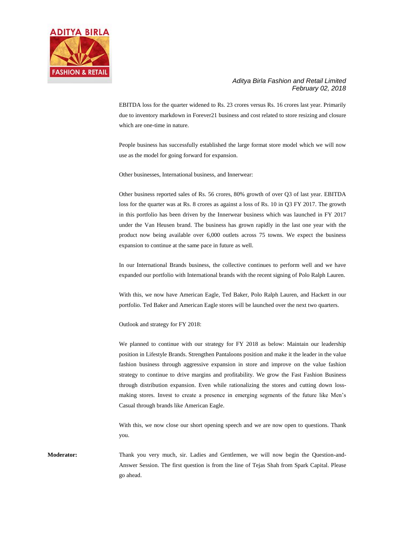

EBITDA loss for the quarter widened to Rs. 23 crores versus Rs. 16 crores last year. Primarily due to inventory markdown in Forever21 business and cost related to store resizing and closure which are one-time in nature.

People business has successfully established the large format store model which we will now use as the model for going forward for expansion.

Other businesses, International business, and Innerwear:

Other business reported sales of Rs. 56 crores, 80% growth of over Q3 of last year. EBITDA loss for the quarter was at Rs. 8 crores as against a loss of Rs. 10 in Q3 FY 2017. The growth in this portfolio has been driven by the Innerwear business which was launched in FY 2017 under the Van Heusen brand. The business has grown rapidly in the last one year with the product now being available over 6,000 outlets across 75 towns. We expect the business expansion to continue at the same pace in future as well.

In our International Brands business, the collective continues to perform well and we have expanded our portfolio with International brands with the recent signing of Polo Ralph Lauren.

With this, we now have American Eagle, Ted Baker, Polo Ralph Lauren, and Hackett in our portfolio. Ted Baker and American Eagle stores will be launched over the next two quarters.

Outlook and strategy for FY 2018:

We planned to continue with our strategy for FY 2018 as below: Maintain our leadership position in Lifestyle Brands. Strengthen Pantaloons position and make it the leader in the value fashion business through aggressive expansion in store and improve on the value fashion strategy to continue to drive margins and profitability. We grow the Fast Fashion Business through distribution expansion. Even while rationalizing the stores and cutting down lossmaking stores. Invest to create a presence in emerging segments of the future like Men's Casual through brands like American Eagle.

With this, we now close our short opening speech and we are now open to questions. Thank you.

**Moderator:** Thank you very much, sir. Ladies and Gentlemen, we will now begin the Question-and-Answer Session. The first question is from the line of Tejas Shah from Spark Capital. Please go ahead.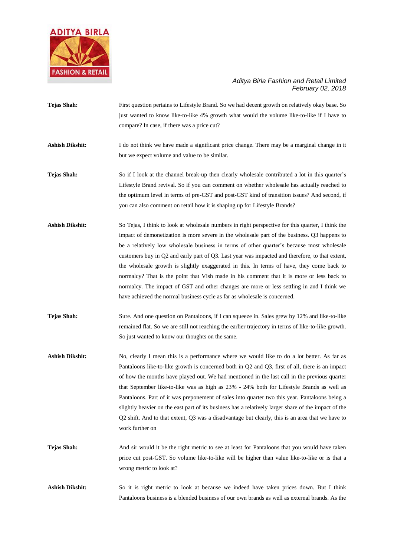

- **Tejas Shah:** First question pertains to Lifestyle Brand. So we had decent growth on relatively okay base. So just wanted to know like-to-like 4% growth what would the volume like-to-like if I have to compare? In case, if there was a price cut?
- **Ashish Dikshit:** I do not think we have made a significant price change. There may be a marginal change in it but we expect volume and value to be similar.
- **Tejas Shah:** So if I look at the channel break-up then clearly wholesale contributed a lot in this quarter's Lifestyle Brand revival. So if you can comment on whether wholesale has actually reached to the optimum level in terms of pre-GST and post-GST kind of transition issues? And second, if you can also comment on retail how it is shaping up for Lifestyle Brands?
- **Ashish Dikshit:** So Tejas, I think to look at wholesale numbers in right perspective for this quarter, I think the impact of demonetization is more severe in the wholesale part of the business. Q3 happens to be a relatively low wholesale business in terms of other quarter's because most wholesale customers buy in Q2 and early part of Q3. Last year was impacted and therefore, to that extent, the wholesale growth is slightly exaggerated in this. In terms of have, they come back to normalcy? That is the point that Vish made in his comment that it is more or less back to normalcy. The impact of GST and other changes are more or less settling in and I think we have achieved the normal business cycle as far as wholesale is concerned.
- **Tejas Shah:** Sure. And one question on Pantaloons, if I can squeeze in. Sales grew by 12% and like-to-like remained flat. So we are still not reaching the earlier trajectory in terms of like-to-like growth. So just wanted to know our thoughts on the same.
- Ashish Dikshit: No, clearly I mean this is a performance where we would like to do a lot better. As far as Pantaloons like-to-like growth is concerned both in Q2 and Q3, first of all, there is an impact of how the months have played out. We had mentioned in the last call in the previous quarter that September like-to-like was as high as 23% - 24% both for Lifestyle Brands as well as Pantaloons. Part of it was preponement of sales into quarter two this year. Pantaloons being a slightly heavier on the east part of its business has a relatively larger share of the impact of the Q2 shift. And to that extent, Q3 was a disadvantage but clearly, this is an area that we have to work further on
- **Tejas Shah:** And sir would it be the right metric to see at least for Pantaloons that you would have taken price cut post-GST. So volume like-to-like will be higher than value like-to-like or is that a wrong metric to look at?
- **Ashish Dikshit:** So it is right metric to look at because we indeed have taken prices down. But I think Pantaloons business is a blended business of our own brands as well as external brands. As the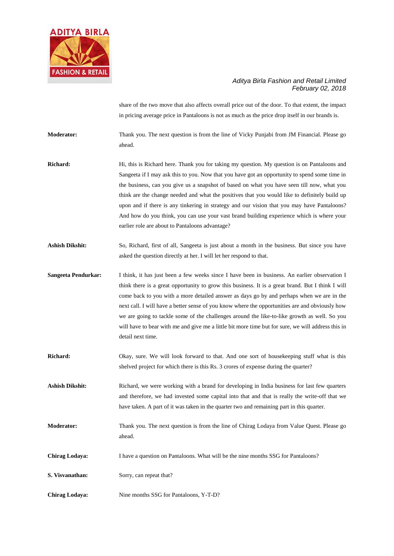

share of the two move that also affects overall price out of the door. To that extent, the impact in pricing average price in Pantaloons is not as much as the price drop itself in our brands is.

**Moderator:** Thank you. The next question is from the line of Vicky Punjabi from JM Financial. Please go ahead.

- **Richard:** Hi, this is Richard here. Thank you for taking my question. My question is on Pantaloons and Sangeeta if I may ask this to you. Now that you have got an opportunity to spend some time in the business, can you give us a snapshot of based on what you have seen till now, what you think are the change needed and what the positives that you would like to definitely build up upon and if there is any tinkering in strategy and our vision that you may have Pantaloons? And how do you think, you can use your vast brand building experience which is where your earlier role are about to Pantaloons advantage?
- **Ashish Dikshit:** So, Richard, first of all, Sangeeta is just about a month in the business. But since you have asked the question directly at her. I will let her respond to that.
- **Sangeeta Pendurkar:** I think, it has just been a few weeks since I have been in business. An earlier observation I think there is a great opportunity to grow this business. It is a great brand. But I think I will come back to you with a more detailed answer as days go by and perhaps when we are in the next call. I will have a better sense of you know where the opportunities are and obviously how we are going to tackle some of the challenges around the like-to-like growth as well. So you will have to bear with me and give me a little bit more time but for sure, we will address this in detail next time.
- Richard: Okay, sure. We will look forward to that. And one sort of housekeeping stuff what is this shelved project for which there is this Rs. 3 crores of expense during the quarter?

**Ashish Dikshit:** Richard, we were working with a brand for developing in India business for last few quarters and therefore, we had invested some capital into that and that is really the write-off that we have taken. A part of it was taken in the quarter two and remaining part in this quarter.

- **Moderator:** Thank you. The next question is from the line of Chirag Lodaya from Value Quest. Please go ahead.
- **Chirag Lodaya:** I have a question on Pantaloons. What will be the nine months SSG for Pantaloons?
- **S. Visvanathan:** Sorry, can repeat that?
- **Chirag Lodaya:** Nine months SSG for Pantaloons, Y-T-D?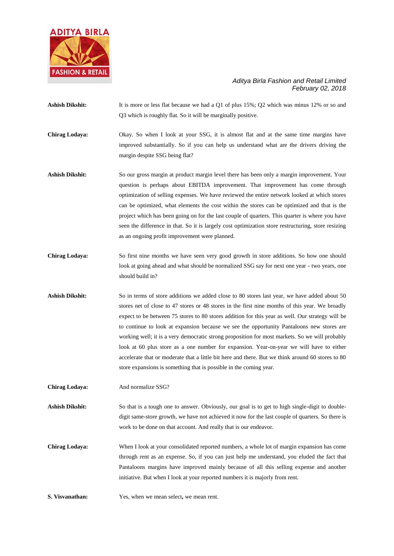

- Ashish Dikshit: It is more or less flat because we had a Q1 of plus 15%; Q2 which was minus 12% or so and Q3 which is roughly flat. So it will be marginally positive.
- **Chirag Lodaya:** Okay. So when I look at your SSG, it is almost flat and at the same time margins have improved substantially. So if you can help us understand what are the drivers driving the margin despite SSG being flat?
- **Ashish Dikshit:** So our gross margin at product margin level there has been only a margin improvement. Your question is perhaps about EBITDA improvement. That improvement has come through optimization of selling expenses. We have reviewed the entire network looked at which stores can be optimized, what elements the cost within the stores can be optimized and that is the project which has been going on for the last couple of quarters. This quarter is where you have seen the difference in that. So it is largely cost optimization store restructuring, store resizing as an ongoing profit improvement were planned.
- **Chirag Lodaya:** So first nine months we have seen very good growth in store additions. So how one should look at going ahead and what should be normalized SSG say for next one year - two years, one should build in?
- **Ashish Dikshit:** So in terms of store additions we added close to 80 stores last year, we have added about 50 stores net of close to 47 stores or 48 stores in the first nine months of this year. We broadly expect to be between 75 stores to 80 stores addition for this year as well. Our strategy will be to continue to look at expansion because we see the opportunity Pantaloons new stores are working well; it is a very democratic strong proposition for most markets. So we will probably look at 60 plus store as a one number for expansion. Year-on-year we will have to either accelerate that or moderate that a little bit here and there. But we think around 60 stores to 80 store expansions is something that is possible in the coming year.
- **Chirag Lodaya:** And normalize SSG?
- **Ashish Dikshit:** So that is a tough one to answer. Obviously, our goal is to get to high single-digit to doubledigit same-store growth, we have not achieved it now for the last couple of quarters. So there is work to be done on that account. And really that is our endeavor.
- **Chirag Lodaya:** When I look at your consolidated reported numbers, a whole lot of margin expansion has come through rent as an expense. So, if you can just help me understand, you eluded the fact that Pantaloons margins have improved mainly because of all this selling expense and another initiative. But when I look at your reported numbers it is majorly from rent.
- **S. Visvanathan:** Yes, when we mean select**,** we mean rent.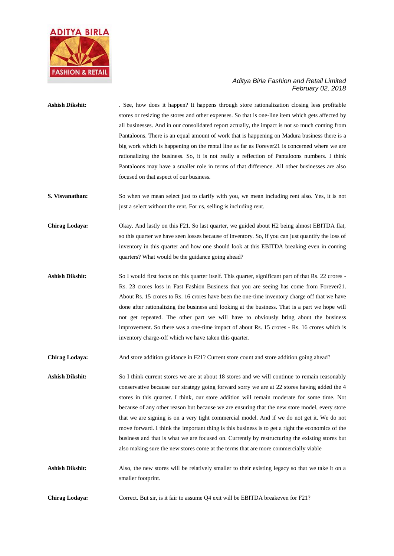

- Ashish Dikshit: . See, how does it happen? It happens through store rationalization closing less profitable stores or resizing the stores and other expenses. So that is one-line item which gets affected by all businesses. And in our consolidated report actually, the impact is not so much coming from Pantaloons. There is an equal amount of work that is happening on Madura business there is a big work which is happening on the rental line as far as Forever21 is concerned where we are rationalizing the business. So, it is not really a reflection of Pantaloons numbers. I think Pantaloons may have a smaller role in terms of that difference. All other businesses are also focused on that aspect of our business.
- **S. Visvanathan:** So when we mean select just to clarify with you, we mean including rent also. Yes, it is not just a select without the rent. For us, selling is including rent.
- **Chirag Lodaya:** Okay. And lastly on this F21. So last quarter, we guided about H2 being almost EBITDA flat, so this quarter we have seen losses because of inventory. So, if you can just quantify the loss of inventory in this quarter and how one should look at this EBITDA breaking even in coming quarters? What would be the guidance going ahead?
- Ashish Dikshit: So I would first focus on this quarter itself. This quarter, significant part of that Rs. 22 crores -Rs. 23 crores loss in Fast Fashion Business that you are seeing has come from Forever21. About Rs. 15 crores to Rs. 16 crores have been the one-time inventory charge off that we have done after rationalizing the business and looking at the business. That is a part we hope will not get repeated. The other part we will have to obviously bring about the business improvement. So there was a one-time impact of about Rs. 15 crores - Rs. 16 crores which is inventory charge-off which we have taken this quarter.
- **Chirag Lodaya:** And store addition guidance in F21? Current store count and store addition going ahead?
- **Ashish Dikshit:** So I think current stores we are at about 18 stores and we will continue to remain reasonably conservative because our strategy going forward sorry we are at 22 stores having added the 4 stores in this quarter. I think, our store addition will remain moderate for some time. Not because of any other reason but because we are ensuring that the new store model, every store that we are signing is on a very tight commercial model. And if we do not get it. We do not move forward. I think the important thing is this business is to get a right the economics of the business and that is what we are focused on. Currently by restructuring the existing stores but also making sure the new stores come at the terms that are more commercially viable
- Ashish Dikshit: Also, the new stores will be relatively smaller to their existing legacy so that we take it on a smaller footprint.
- **Chirag Lodaya:** Correct. But sir, is it fair to assume Q4 exit will be EBITDA breakeven for F21?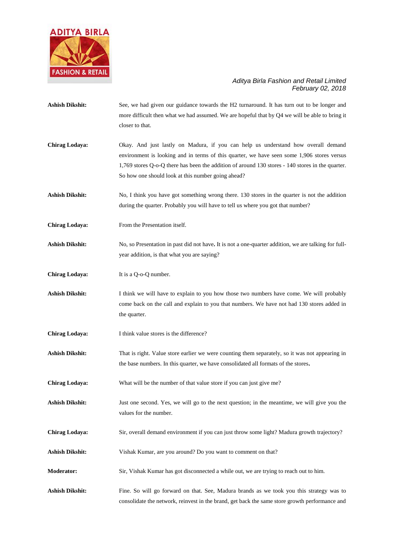

**Ashish Dikshit:** See, we had given our guidance towards the H2 turnaround. It has turn out to be longer and more difficult then what we had assumed. We are hopeful that by Q4 we will be able to bring it closer to that. **Chirag Lodaya:** Okay. And just lastly on Madura, if you can help us understand how overall demand environment is looking and in terms of this quarter, we have seen some 1,906 stores versus 1,769 stores Q-o-Q there has been the addition of around 130 stores - 140 stores in the quarter. So how one should look at this number going ahead? Ashish Dikshit: No, I think you have got something wrong there. 130 stores in the quarter is not the addition during the quarter. Probably you will have to tell us where you got that number? **Chirag Lodaya:** From the Presentation itself. **Ashish Dikshit:** No, so Presentation in past did not have**.** It is not a one-quarter addition, we are talking for fullyear addition, is that what you are saying? **Chirag Lodaya:** It is a Q-o-Q number. **Ashish Dikshit:** I think we will have to explain to you how those two numbers have come. We will probably come back on the call and explain to you that numbers. We have not had 130 stores added in the quarter. **Chirag Lodaya:** I think value stores is the difference? Ashish Dikshit: That is right. Value store earlier we were counting them separately, so it was not appearing in the base numbers. In this quarter, we have consolidated all formats of the stores**. Chirag Lodaya:** What will be the number of that value store if you can just give me? **Ashish Dikshit:** Just one second. Yes, we will go to the next question; in the meantime, we will give you the values for the number. **Chirag Lodaya:** Sir, overall demand environment if you can just throw some light? Madura growth trajectory? **Ashish Dikshit:** Vishak Kumar, are you around? Do you want to comment on that? **Moderator:** Sir, Vishak Kumar has got disconnected a while out, we are trying to reach out to him. **Ashish Dikshit:** Fine. So will go forward on that. See, Madura brands as we took you this strategy was to consolidate the network, reinvest in the brand, get back the same store growth performance and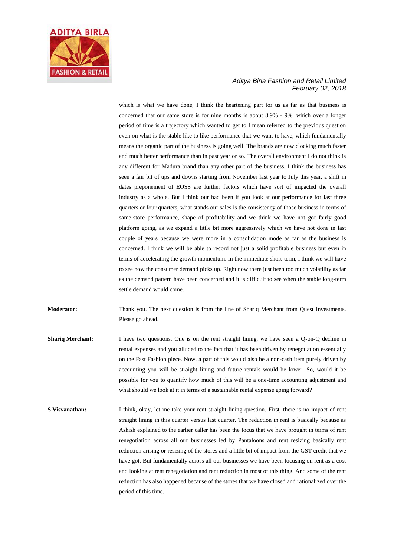

which is what we have done, I think the heartening part for us as far as that business is concerned that our same store is for nine months is about 8.9% - 9%, which over a longer period of time is a trajectory which wanted to get to I mean referred to the previous question even on what is the stable like to like performance that we want to have, which fundamentally means the organic part of the business is going well. The brands are now clocking much faster and much better performance than in past year or so. The overall environment I do not think is any different for Madura brand than any other part of the business. I think the business has seen a fair bit of ups and downs starting from November last year to July this year, a shift in dates preponement of EOSS are further factors which have sort of impacted the overall industry as a whole. But I think our had been if you look at our performance for last three quarters or four quarters, what stands our sales is the consistency of those business in terms of same-store performance, shape of profitability and we think we have not got fairly good platform going, as we expand a little bit more aggressively which we have not done in last couple of years because we were more in a consolidation mode as far as the business is concerned. I think we will be able to record not just a solid profitable business but even in terms of accelerating the growth momentum. In the immediate short-term, I think we will have to see how the consumer demand picks up. Right now there just been too much volatility as far as the demand pattern have been concerned and it is difficult to see when the stable long-term settle demand would come.

**Moderator:** Thank you. The next question is from the line of Shariq Merchant from Quest Investments. Please go ahead.

- **Shariq Merchant:** I have two questions. One is on the rent straight lining, we have seen a Q-on-Q decline in rental expenses and you alluded to the fact that it has been driven by renegotiation essentially on the Fast Fashion piece. Now, a part of this would also be a non-cash item purely driven by accounting you will be straight lining and future rentals would be lower. So, would it be possible for you to quantify how much of this will be a one-time accounting adjustment and what should we look at it in terms of a sustainable rental expense going forward?
- **S Visvanathan:** I think, okay, let me take your rent straight lining question. First, there is no impact of rent straight lining in this quarter versus last quarter. The reduction in rent is basically because as Ashish explained to the earlier caller has been the focus that we have brought in terms of rent renegotiation across all our businesses led by Pantaloons and rent resizing basically rent reduction arising or resizing of the stores and a little bit of impact from the GST credit that we have got. But fundamentally across all our businesses we have been focusing on rent as a cost and looking at rent renegotiation and rent reduction in most of this thing. And some of the rent reduction has also happened because of the stores that we have closed and rationalized over the period of this time.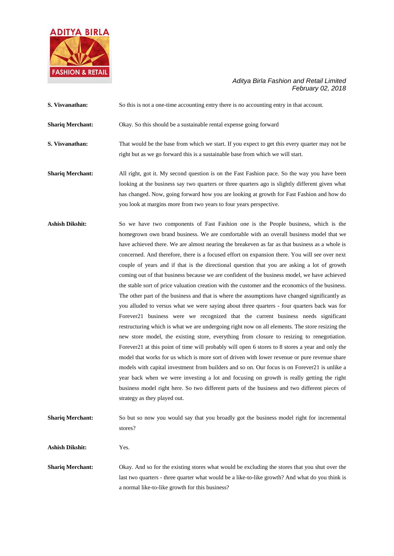

| S. Visvanathan:         | So this is not a one-time accounting entry there is no accounting entry in that account.                                                                                                                                                                                                                                                                                                                                                                                                                                                                                                                                                                                                                                                                                                                                                                                                                                                                                                                                                                                                                                                                                                                                                                                                                                                                                                                                                                                                                                                                                                                                                                                                                        |
|-------------------------|-----------------------------------------------------------------------------------------------------------------------------------------------------------------------------------------------------------------------------------------------------------------------------------------------------------------------------------------------------------------------------------------------------------------------------------------------------------------------------------------------------------------------------------------------------------------------------------------------------------------------------------------------------------------------------------------------------------------------------------------------------------------------------------------------------------------------------------------------------------------------------------------------------------------------------------------------------------------------------------------------------------------------------------------------------------------------------------------------------------------------------------------------------------------------------------------------------------------------------------------------------------------------------------------------------------------------------------------------------------------------------------------------------------------------------------------------------------------------------------------------------------------------------------------------------------------------------------------------------------------------------------------------------------------------------------------------------------------|
| <b>Shariq Merchant:</b> | Okay. So this should be a sustainable rental expense going forward                                                                                                                                                                                                                                                                                                                                                                                                                                                                                                                                                                                                                                                                                                                                                                                                                                                                                                                                                                                                                                                                                                                                                                                                                                                                                                                                                                                                                                                                                                                                                                                                                                              |
| S. Visvanathan:         | That would be the base from which we start. If you expect to get this every quarter may not be<br>right but as we go forward this is a sustainable base from which we will start.                                                                                                                                                                                                                                                                                                                                                                                                                                                                                                                                                                                                                                                                                                                                                                                                                                                                                                                                                                                                                                                                                                                                                                                                                                                                                                                                                                                                                                                                                                                               |
| <b>Shariq Merchant:</b> | All right, got it. My second question is on the Fast Fashion pace. So the way you have been<br>looking at the business say two quarters or three quarters ago is slightly different given what<br>has changed. Now, going forward how you are looking at growth for Fast Fashion and how do<br>you look at margins more from two years to four years perspective.                                                                                                                                                                                                                                                                                                                                                                                                                                                                                                                                                                                                                                                                                                                                                                                                                                                                                                                                                                                                                                                                                                                                                                                                                                                                                                                                               |
| <b>Ashish Dikshit:</b>  | So we have two components of Fast Fashion one is the People business, which is the<br>homegrown own brand business. We are comfortable with an overall business model that we<br>have achieved there. We are almost nearing the breakeven as far as that business as a whole is<br>concerned. And therefore, there is a focused effort on expansion there. You will see over next<br>couple of years and if that is the directional question that you are asking a lot of growth<br>coming out of that business because we are confident of the business model, we have achieved<br>the stable sort of price valuation creation with the customer and the economics of the business.<br>The other part of the business and that is where the assumptions have changed significantly as<br>you alluded to versus what we were saying about three quarters - four quarters back was for<br>Forever21 business were we recognized that the current business needs significant<br>restructuring which is what we are undergoing right now on all elements. The store resizing the<br>new store model, the existing store, everything from closure to resizing to renegotiation.<br>Forever21 at this point of time will probably will open 6 stores to 8 stores a year and only the<br>model that works for us which is more sort of driven with lower revenue or pure revenue share<br>models with capital investment from builders and so on. Our focus is on Forever21 is unlike a<br>year back when we were investing a lot and focusing on growth is really getting the right<br>business model right here. So two different parts of the business and two different pieces of<br>strategy as they played out. |
| <b>Shariq Merchant:</b> | So but so now you would say that you broadly got the business model right for incremental<br>stores?                                                                                                                                                                                                                                                                                                                                                                                                                                                                                                                                                                                                                                                                                                                                                                                                                                                                                                                                                                                                                                                                                                                                                                                                                                                                                                                                                                                                                                                                                                                                                                                                            |
| <b>Ashish Dikshit:</b>  | Yes.                                                                                                                                                                                                                                                                                                                                                                                                                                                                                                                                                                                                                                                                                                                                                                                                                                                                                                                                                                                                                                                                                                                                                                                                                                                                                                                                                                                                                                                                                                                                                                                                                                                                                                            |
| <b>Shariq Merchant:</b> | Okay. And so for the existing stores what would be excluding the stores that you shut over the                                                                                                                                                                                                                                                                                                                                                                                                                                                                                                                                                                                                                                                                                                                                                                                                                                                                                                                                                                                                                                                                                                                                                                                                                                                                                                                                                                                                                                                                                                                                                                                                                  |

last two quarters - three quarter what would be a like-to-like growth? And what do you think is a normal like-to-like growth for this business?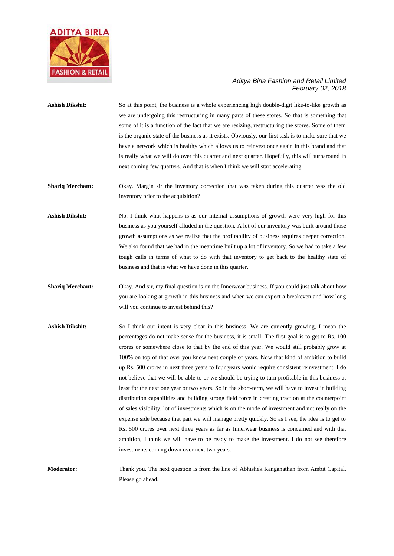

- **Ashish Dikshit:** So at this point, the business is a whole experiencing high double-digit like-to-like growth as we are undergoing this restructuring in many parts of these stores. So that is something that some of it is a function of the fact that we are resizing, restructuring the stores. Some of them is the organic state of the business as it exists. Obviously, our first task is to make sure that we have a network which is healthy which allows us to reinvest once again in this brand and that is really what we will do over this quarter and next quarter. Hopefully, this will turnaround in next coming few quarters. And that is when I think we will start accelerating.
- **Shariq Merchant:** Okay. Margin sir the inventory correction that was taken during this quarter was the old inventory prior to the acquisition?
- **Ashish Dikshit:** No. I think what happens is as our internal assumptions of growth were very high for this business as you yourself alluded in the question. A lot of our inventory was built around those growth assumptions as we realize that the profitability of business requires deeper correction. We also found that we had in the meantime built up a lot of inventory. So we had to take a few tough calls in terms of what to do with that inventory to get back to the healthy state of business and that is what we have done in this quarter.
- **Shariq Merchant:** Okay. And sir, my final question is on the Innerwear business. If you could just talk about how you are looking at growth in this business and when we can expect a breakeven and how long will you continue to invest behind this?
- **Ashish Dikshit:** So I think our intent is very clear in this business. We are currently growing, I mean the percentages do not make sense for the business, it is small. The first goal is to get to Rs. 100 crores or somewhere close to that by the end of this year. We would still probably grow at 100% on top of that over you know next couple of years. Now that kind of ambition to build up Rs. 500 crores in next three years to four years would require consistent reinvestment. I do not believe that we will be able to or we should be trying to turn profitable in this business at least for the next one year or two years. So in the short-term, we will have to invest in building distribution capabilities and building strong field force in creating traction at the counterpoint of sales visibility, lot of investments which is on the mode of investment and not really on the expense side because that part we will manage pretty quickly. So as I see, the idea is to get to Rs. 500 crores over next three years as far as Innerwear business is concerned and with that ambition, I think we will have to be ready to make the investment. I do not see therefore investments coming down over next two years.

**Moderator:** Thank you. The next question is from the line of Abhishek Ranganathan from Ambit Capital. Please go ahead.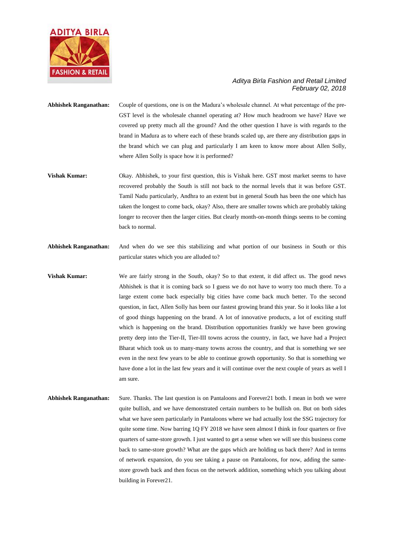

- **Abhishek Ranganathan:** Couple of questions, one is on the Madura's wholesale channel. At what percentage of the pre-GST level is the wholesale channel operating at? How much headroom we have? Have we covered up pretty much all the ground? And the other question I have is with regards to the brand in Madura as to where each of these brands scaled up, are there any distribution gaps in the brand which we can plug and particularly I am keen to know more about Allen Solly, where Allen Solly is space how it is performed?
- **Vishak Kumar:** Okay. Abhishek, to your first question, this is Vishak here. GST most market seems to have recovered probably the South is still not back to the normal levels that it was before GST. Tamil Nadu particularly, Andhra to an extent but in general South has been the one which has taken the longest to come back, okay? Also, there are smaller towns which are probably taking longer to recover then the larger cities. But clearly month-on-month things seems to be coming back to normal.
- **Abhishek Ranganathan:** And when do we see this stabilizing and what portion of our business in South or this particular states which you are alluded to?
- **Vishak Kumar:** We are fairly strong in the South, okay? So to that extent, it did affect us. The good news Abhishek is that it is coming back so I guess we do not have to worry too much there. To a large extent come back especially big cities have come back much better. To the second question, in fact, Allen Solly has been our fastest growing brand this year. So it looks like a lot of good things happening on the brand. A lot of innovative products, a lot of exciting stuff which is happening on the brand. Distribution opportunities frankly we have been growing pretty deep into the Tier-II, Tier-III towns across the country, in fact, we have had a Project Bharat which took us to many-many towns across the country, and that is something we see even in the next few years to be able to continue growth opportunity. So that is something we have done a lot in the last few years and it will continue over the next couple of years as well I am sure.
- **Abhishek Ranganathan:** Sure. Thanks. The last question is on Pantaloons and Forever21 both. I mean in both we were quite bullish, and we have demonstrated certain numbers to be bullish on. But on both sides what we have seen particularly in Pantaloons where we had actually lost the SSG trajectory for quite some time. Now barring 1Q FY 2018 we have seen almost I think in four quarters or five quarters of same-store growth. I just wanted to get a sense when we will see this business come back to same-store growth? What are the gaps which are holding us back there? And in terms of network expansion, do you see taking a pause on Pantaloons, for now, adding the samestore growth back and then focus on the network addition, something which you talking about building in Forever21.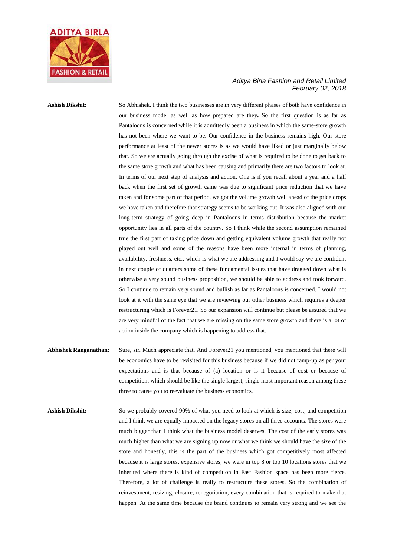

**Ashish Dikshit:** So Abhishek, I think the two businesses are in very different phases of both have confidence in our business model as well as how prepared are they**.** So the first question is as far as Pantaloons is concerned while it is admittedly been a business in which the same-store growth has not been where we want to be. Our confidence in the business remains high. Our store performance at least of the newer stores is as we would have liked or just marginally below that. So we are actually going through the excise of what is required to be done to get back to the same store growth and what has been causing and primarily there are two factors to look at. In terms of our next step of analysis and action. One is if you recall about a year and a half back when the first set of growth came was due to significant price reduction that we have taken and for some part of that period, we got the volume growth well ahead of the price drops we have taken and therefore that strategy seems to be working out. It was also aligned with our long-term strategy of going deep in Pantaloons in terms distribution because the market opportunity lies in all parts of the country. So I think while the second assumption remained true the first part of taking price down and getting equivalent volume growth that really not played out well and some of the reasons have been more internal in terms of planning, availability, freshness, etc., which is what we are addressing and I would say we are confident in next couple of quarters some of these fundamental issues that have dragged down what is otherwise a very sound business proposition, we should be able to address and took forward. So I continue to remain very sound and bullish as far as Pantaloons is concerned. I would not look at it with the same eye that we are reviewing our other business which requires a deeper restructuring which is Forever21. So our expansion will continue but please be assured that we are very mindful of the fact that we are missing on the same store growth and there is a lot of action inside the company which is happening to address that.

- **Abhishek Ranganathan:** Sure, sir. Much appreciate that. And Forever21 you mentioned, you mentioned that there will be economics have to be revisited for this business because if we did not ramp-up as per your expectations and is that because of (a) location or is it because of cost or because of competition, which should be like the single largest, single most important reason among these three to cause you to reevaluate the business economics.
- Ashish Dikshit: So we probably covered 90% of what you need to look at which is size, cost, and competition and I think we are equally impacted on the legacy stores on all three accounts. The stores were much bigger than I think what the business model deserves. The cost of the early stores was much higher than what we are signing up now or what we think we should have the size of the store and honestly, this is the part of the business which got competitively most affected because it is large stores, expensive stores, we were in top 8 or top 10 locations stores that we inherited where there is kind of competition in Fast Fashion space has been more fierce. Therefore, a lot of challenge is really to restructure these stores. So the combination of reinvestment, resizing, closure, renegotiation, every combination that is required to make that happen. At the same time because the brand continues to remain very strong and we see the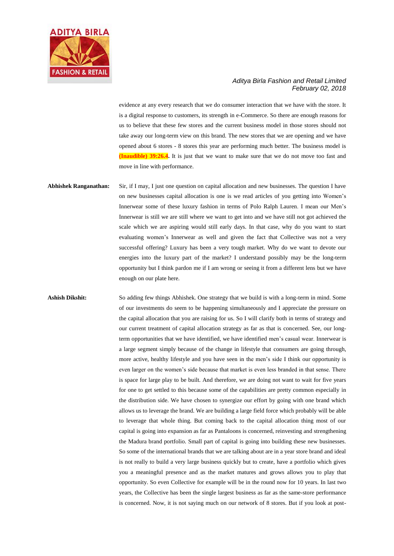

evidence at any every research that we do consumer interaction that we have with the store. It is a digital response to customers, its strength in e-Commerce. So there are enough reasons for us to believe that these few stores and the current business model in those stores should not take away our long-term view on this brand. The new stores that we are opening and we have opened about 6 stores - 8 stores this year are performing much better. The business model is **(Inaudible) 39:26.4.** It is just that we want to make sure that we do not move too fast and move in line with performance.

**Abhishek Ranganathan:** Sir, if I may, I just one question on capital allocation and new businesses. The question I have on new businesses capital allocation is one is we read articles of you getting into Women's Innerwear some of these luxury fashion in terms of Polo Ralph Lauren. I mean our Men's Innerwear is still we are still where we want to get into and we have still not got achieved the scale which we are aspiring would still early days. In that case, why do you want to start evaluating women's Innerwear as well and given the fact that Collective was not a very successful offering? Luxury has been a very tough market. Why do we want to devote our energies into the luxury part of the market? I understand possibly may be the long-term opportunity but I think pardon me if I am wrong or seeing it from a different lens but we have enough on our plate here.

**Ashish Dikshit:** So adding few things Abhishek. One strategy that we build is with a long-term in mind. Some of our investments do seem to be happening simultaneously and I appreciate the pressure on the capital allocation that you are raising for us. So I will clarify both in terms of strategy and our current treatment of capital allocation strategy as far as that is concerned. See, our longterm opportunities that we have identified, we have identified men's casual wear. Innerwear is a large segment simply because of the change in lifestyle that consumers are going through, more active, healthy lifestyle and you have seen in the men's side I think our opportunity is even larger on the women's side because that market is even less branded in that sense. There is space for large play to be built. And therefore, we are doing not want to wait for five years for one to get settled to this because some of the capabilities are pretty common especially in the distribution side. We have chosen to synergize our effort by going with one brand which allows us to leverage the brand. We are building a large field force which probably will be able to leverage that whole thing. But coming back to the capital allocation thing most of our capital is going into expansion as far as Pantaloons is concerned, reinvesting and strengthening the Madura brand portfolio. Small part of capital is going into building these new businesses. So some of the international brands that we are talking about are in a year store brand and ideal is not really to build a very large business quickly but to create, have a portfolio which gives you a meaningful presence and as the market matures and grows allows you to play that opportunity. So even Collective for example will be in the round now for 10 years. In last two years, the Collective has been the single largest business as far as the same-store performance is concerned. Now, it is not saying much on our network of 8 stores. But if you look at post-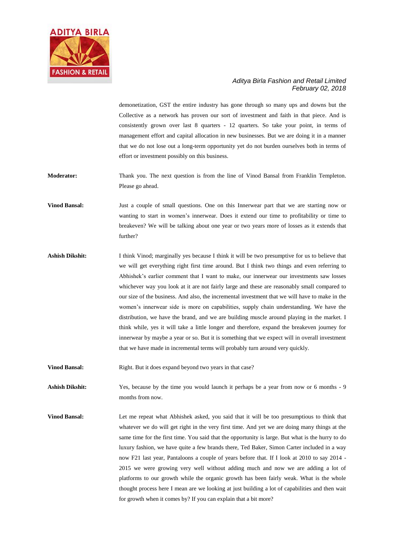

demonetization, GST the entire industry has gone through so many ups and downs but the Collective as a network has proven our sort of investment and faith in that piece. And is consistently grown over last 8 quarters - 12 quarters. So take your point, in terms of management effort and capital allocation in new businesses. But we are doing it in a manner that we do not lose out a long-term opportunity yet do not burden ourselves both in terms of effort or investment possibly on this business.

**Moderator:** Thank you. The next question is from the line of Vinod Bansal from Franklin Templeton. Please go ahead.

**Vinod Bansal:** Just a couple of small questions. One on this Innerwear part that we are starting now or wanting to start in women's innerwear. Does it extend our time to profitability or time to breakeven? We will be talking about one year or two years more of losses as it extends that further?

**Ashish Dikshit:** I think Vinod; marginally yes because I think it will be two presumptive for us to believe that we will get everything right first time around. But I think two things and even referring to Abhishek's earlier comment that I want to make, our innerwear our investments saw losses whichever way you look at it are not fairly large and these are reasonably small compared to our size of the business. And also, the incremental investment that we will have to make in the women's innerwear side is more on capabilities, supply chain understanding. We have the distribution, we have the brand, and we are building muscle around playing in the market. I think while, yes it will take a little longer and therefore, expand the breakeven journey for innerwear by maybe a year or so. But it is something that we expect will in overall investment that we have made in incremental terms will probably turn around very quickly.

**Vinod Bansal:** Right. But it does expand beyond two years in that case?

**Ashish Dikshit:** Yes, because by the time you would launch it perhaps be a year from now or 6 months - 9 months from now.

**Vinod Bansal:** Let me repeat what Abhishek asked, you said that it will be too presumptious to think that whatever we do will get right in the very first time. And yet we are doing many things at the same time for the first time. You said that the opportunity is large. But what is the hurry to do luxury fashion, we have quite a few brands there, Ted Baker, Simon Carter included in a way now F21 last year, Pantaloons a couple of years before that. If I look at 2010 to say 2014 - 2015 we were growing very well without adding much and now we are adding a lot of platforms to our growth while the organic growth has been fairly weak. What is the whole thought process here I mean are we looking at just building a lot of capabilities and then wait for growth when it comes by? If you can explain that a bit more?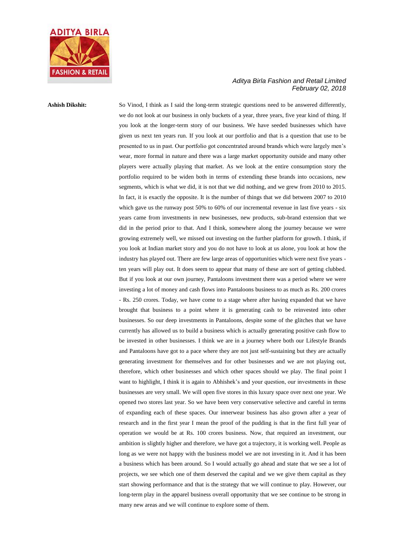

**Ashish Dikshit:** So Vinod, I think as I said the long-term strategic questions need to be answered differently, we do not look at our business in only buckets of a year, three years, five year kind of thing. If you look at the longer-term story of our business. We have seeded businesses which have given us next ten years run. If you look at our portfolio and that is a question that use to be presented to us in past. Our portfolio got concentrated around brands which were largely men's wear, more formal in nature and there was a large market opportunity outside and many other players were actually playing that market. As we look at the entire consumption story the portfolio required to be widen both in terms of extending these brands into occasions, new segments, which is what we did, it is not that we did nothing, and we grew from 2010 to 2015. In fact, it is exactly the opposite. It is the number of things that we did between 2007 to 2010 which gave us the runway post 50% to 60% of our incremental revenue in last five years - six years came from investments in new businesses, new products, sub-brand extension that we did in the period prior to that. And I think, somewhere along the journey because we were growing extremely well, we missed out investing on the further platform for growth. I think, if you look at Indian market story and you do not have to look at us alone, you look at how the industry has played out. There are few large areas of opportunities which were next five years ten years will play out. It does seem to appear that many of these are sort of getting clubbed. But if you look at our own journey, Pantaloons investment there was a period where we were investing a lot of money and cash flows into Pantaloons business to as much as Rs. 200 crores - Rs. 250 crores. Today, we have come to a stage where after having expanded that we have brought that business to a point where it is generating cash to be reinvested into other businesses. So our deep investments in Pantaloons, despite some of the glitches that we have currently has allowed us to build a business which is actually generating positive cash flow to be invested in other businesses. I think we are in a journey where both our Lifestyle Brands and Pantaloons have got to a pace where they are not just self-sustaining but they are actually generating investment for themselves and for other businesses and we are not playing out, therefore, which other businesses and which other spaces should we play. The final point I want to highlight, I think it is again to Abhishek's and your question, our investments in these businesses are very small. We will open five stores in this luxury space over next one year. We opened two stores last year. So we have been very conservative selective and careful in terms of expanding each of these spaces. Our innerwear business has also grown after a year of research and in the first year I mean the proof of the pudding is that in the first full year of operation we would be at Rs. 100 crores business. Now, that required an investment, our ambition is slightly higher and therefore, we have got a trajectory, it is working well. People as long as we were not happy with the business model we are not investing in it. And it has been a business which has been around. So I would actually go ahead and state that we see a lot of projects, we see which one of them deserved the capital and we we give them capital as they start showing performance and that is the strategy that we will continue to play. However, our long-term play in the apparel business overall opportunity that we see continue to be strong in many new areas and we will continue to explore some of them.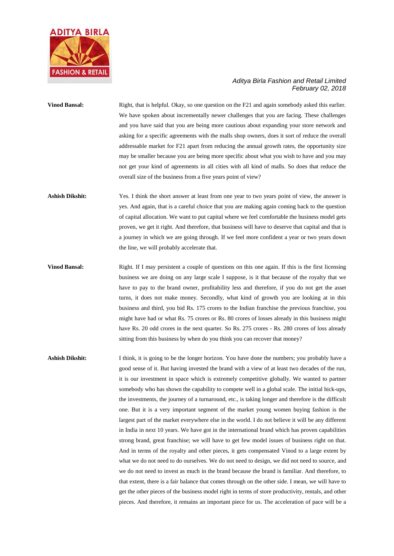

**Vinod Bansal:** Right, that is helpful. Okay, so one question on the F21 and again somebody asked this earlier. We have spoken about incrementally newer challenges that you are facing. These challenges and you have said that you are being more cautious about expanding your store network and asking for a specific agreements with the malls shop owners, does it sort of reduce the overall addressable market for F21 apart from reducing the annual growth rates, the opportunity size may be smaller because you are being more specific about what you wish to have and you may not get your kind of agreements in all cities with all kind of malls. So does that reduce the overall size of the business from a five years point of view?

- **Ashish Dikshit:** Yes. I think the short answer at least from one year to two years point of view, the answer is yes. And again, that is a careful choice that you are making again coming back to the question of capital allocation. We want to put capital where we feel comfortable the business model gets proven, we get it right. And therefore, that business will have to deserve that capital and that is a journey in which we are going through. If we feel more confident a year or two years down the line, we will probably accelerate that.
- **Vinod Bansal:** Right. If I may persistent a couple of questions on this one again. If this is the first licensing business we are doing on any large scale I suppose, is it that because of the royalty that we have to pay to the brand owner, profitability less and therefore, if you do not get the asset turns, it does not make money. Secondly, what kind of growth you are looking at in this business and third, you bid Rs. 175 crores to the Indian franchise the previous franchise, you might have had or what Rs. 75 crores or Rs. 80 crores of losses already in this business might have Rs. 20 odd crores in the next quarter. So Rs. 275 crores - Rs. 280 crores of loss already sitting from this business by when do you think you can recover that money?

**Ashish Dikshit:** I think, it is going to be the longer horizon. You have done the numbers; you probably have a good sense of it. But having invested the brand with a view of at least two decades of the run, it is our investment in space which is extremely competitive globally. We wanted to partner somebody who has shown the capability to compete well in a global scale. The initial hick-ups, the investments, the journey of a turnaround, etc., is taking longer and therefore is the difficult one. But it is a very important segment of the market young women buying fashion is the largest part of the market everywhere else in the world. I do not believe it will be any different in India in next 10 years. We have got in the international brand which has proven capabilities strong brand, great franchise; we will have to get few model issues of business right on that. And in terms of the royalty and other pieces, it gets compensated Vinod to a large extent by what we do not need to do ourselves. We do not need to design, we did not need to source, and we do not need to invest as much in the brand because the brand is familiar. And therefore, to that extent, there is a fair balance that comes through on the other side. I mean, we will have to get the other pieces of the business model right in terms of store productivity, rentals, and other pieces. And therefore, it remains an important piece for us. The acceleration of pace will be a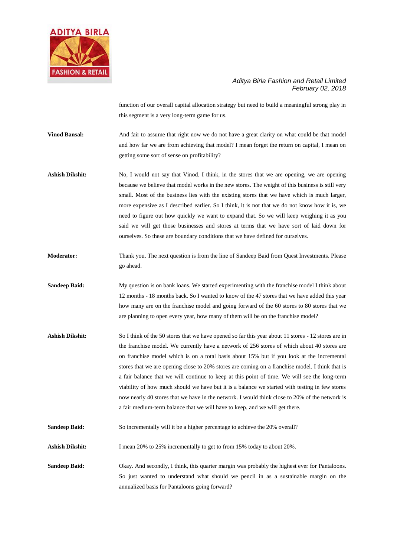

function of our overall capital allocation strategy but need to build a meaningful strong play in this segment is a very long-term game for us.

**Vinod Bansal:** And fair to assume that right now we do not have a great clarity on what could be that model and how far we are from achieving that model? I mean forget the return on capital, I mean on getting some sort of sense on profitability?

Ashish Dikshit: No, I would not say that Vinod. I think, in the stores that we are opening, we are opening because we believe that model works in the new stores. The weight of this business is still very small. Most of the business lies with the existing stores that we have which is much larger, more expensive as I described earlier. So I think, it is not that we do not know how it is, we need to figure out how quickly we want to expand that. So we will keep weighing it as you said we will get those businesses and stores at terms that we have sort of laid down for ourselves. So these are boundary conditions that we have defined for ourselves.

**Moderator:** Thank you. The next question is from the line of Sandeep Baid from Quest Investments. Please go ahead.

**Sandeep Baid:** My question is on bank loans. We started experimenting with the franchise model I think about 12 months - 18 months back. So I wanted to know of the 47 stores that we have added this year how many are on the franchise model and going forward of the 60 stores to 80 stores that we are planning to open every year, how many of them will be on the franchise model?

**Ashish Dikshit:** So I think of the 50 stores that we have opened so far this year about 11 stores - 12 stores are in the franchise model. We currently have a network of 256 stores of which about 40 stores are on franchise model which is on a total basis about 15% but if you look at the incremental stores that we are opening close to 20% stores are coming on a franchise model. I think that is a fair balance that we will continue to keep at this point of time. We will see the long-term viability of how much should we have but it is a balance we started with testing in few stores now nearly 40 stores that we have in the network. I would think close to 20% of the network is a fair medium-term balance that we will have to keep, and we will get there.

**Sandeep Baid:** So incrementally will it be a higher percentage to achieve the 20% overall?

Ashish Dikshit: I mean 20% to 25% incrementally to get to from 15% today to about 20%.

**Sandeep Baid:** Okay. And secondly, I think, this quarter margin was probably the highest ever for Pantaloons. So just wanted to understand what should we pencil in as a sustainable margin on the annualized basis for Pantaloons going forward?